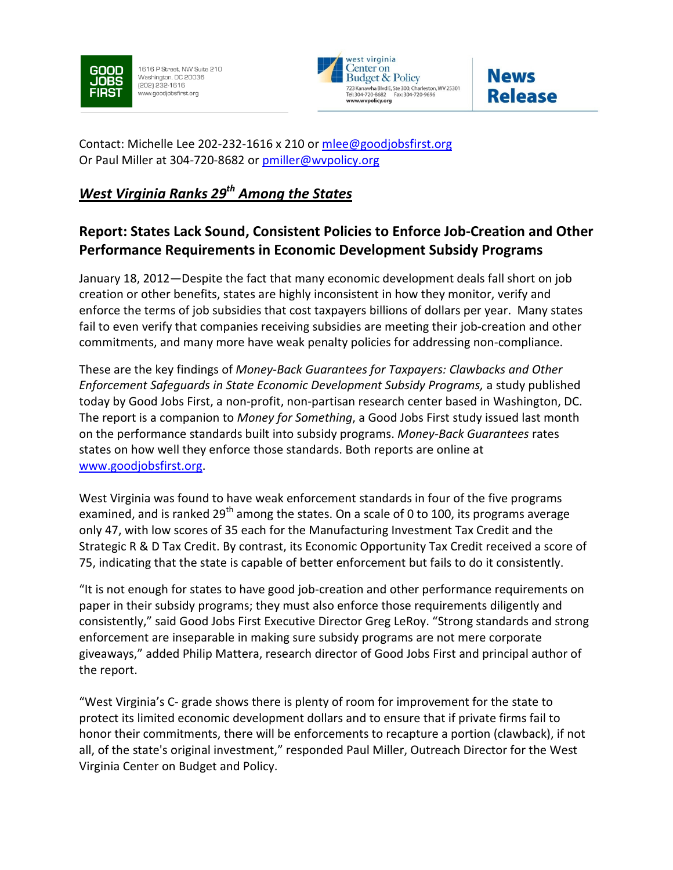

1616 P Street, NW Suite 210 Washington, DC 20036 (202) 232-1616 www.goodjobsfirst.org





Contact: Michelle Lee 202-232-1616 x 210 or mlee@goodjobsfirst.org Or Paul Miller at 304-720-8682 or pmiller@wvpolicy.org

## West Virginia Ranks  $29<sup>th</sup>$  Among the States

## Report: States Lack Sound, Consistent Policies to Enforce Job-Creation and Other Performance Requirements in Economic Development Subsidy Programs

January 18, 2012—Despite the fact that many economic development deals fall short on job creation or other benefits, states are highly inconsistent in how they monitor, verify and enforce the terms of job subsidies that cost taxpayers billions of dollars per year. Many states fail to even verify that companies receiving subsidies are meeting their job-creation and other commitments, and many more have weak penalty policies for addressing non-compliance.

These are the key findings of Money-Back Guarantees for Taxpayers: Clawbacks and Other Enforcement Safeguards in State Economic Development Subsidy Programs, a study published today by Good Jobs First, a non-profit, non-partisan research center based in Washington, DC. The report is a companion to *Money for Something*, a Good Jobs First study issued last month on the performance standards built into subsidy programs. Money-Back Guarantees rates states on how well they enforce those standards. Both reports are online at www.goodjobsfirst.org.

West Virginia was found to have weak enforcement standards in four of the five programs examined, and is ranked 29<sup>th</sup> among the states. On a scale of 0 to 100, its programs average only 47, with low scores of 35 each for the Manufacturing Investment Tax Credit and the Strategic R & D Tax Credit. By contrast, its Economic Opportunity Tax Credit received a score of 75, indicating that the state is capable of better enforcement but fails to do it consistently.

"It is not enough for states to have good job-creation and other performance requirements on paper in their subsidy programs; they must also enforce those requirements diligently and consistently," said Good Jobs First Executive Director Greg LeRoy. "Strong standards and strong enforcement are inseparable in making sure subsidy programs are not mere corporate giveaways," added Philip Mattera, research director of Good Jobs First and principal author of the report.

"West Virginia's C- grade shows there is plenty of room for improvement for the state to protect its limited economic development dollars and to ensure that if private firms fail to honor their commitments, there will be enforcements to recapture a portion (clawback), if not all, of the state's original investment," responded Paul Miller, Outreach Director for the West Virginia Center on Budget and Policy.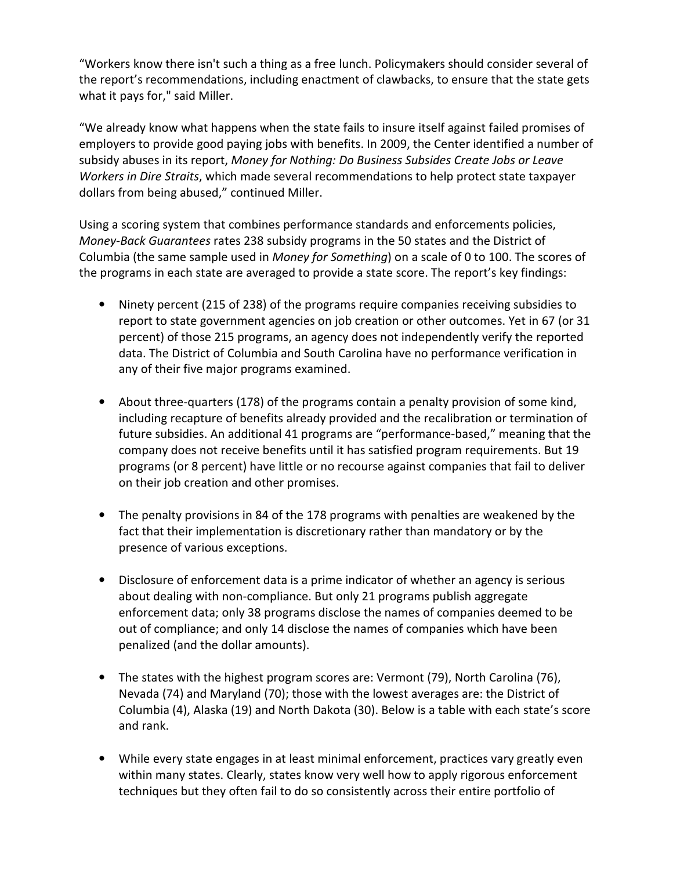"Workers know there isn't such a thing as a free lunch. Policymakers should consider several of the report's recommendations, including enactment of clawbacks, to ensure that the state gets what it pays for," said Miller.

"We already know what happens when the state fails to insure itself against failed promises of employers to provide good paying jobs with benefits. In 2009, the Center identified a number of subsidy abuses in its report, Money for Nothing: Do Business Subsides Create Jobs or Leave Workers in Dire Straits, which made several recommendations to help protect state taxpayer dollars from being abused," continued Miller.

Using a scoring system that combines performance standards and enforcements policies, Money-Back Guarantees rates 238 subsidy programs in the 50 states and the District of Columbia (the same sample used in Money for Something) on a scale of 0 to 100. The scores of the programs in each state are averaged to provide a state score. The report's key findings:

- Ninety percent (215 of 238) of the programs require companies receiving subsidies to report to state government agencies on job creation or other outcomes. Yet in 67 (or 31 percent) of those 215 programs, an agency does not independently verify the reported data. The District of Columbia and South Carolina have no performance verification in any of their five major programs examined.
- About three-quarters (178) of the programs contain a penalty provision of some kind, including recapture of benefits already provided and the recalibration or termination of future subsidies. An additional 41 programs are "performance-based," meaning that the company does not receive benefits until it has satisfied program requirements. But 19 programs (or 8 percent) have little or no recourse against companies that fail to deliver on their job creation and other promises.
- The penalty provisions in 84 of the 178 programs with penalties are weakened by the fact that their implementation is discretionary rather than mandatory or by the presence of various exceptions.
- Disclosure of enforcement data is a prime indicator of whether an agency is serious about dealing with non-compliance. But only 21 programs publish aggregate enforcement data; only 38 programs disclose the names of companies deemed to be out of compliance; and only 14 disclose the names of companies which have been penalized (and the dollar amounts).
- The states with the highest program scores are: Vermont (79), North Carolina (76), Nevada (74) and Maryland (70); those with the lowest averages are: the District of Columbia (4), Alaska (19) and North Dakota (30). Below is a table with each state's score and rank.
- While every state engages in at least minimal enforcement, practices vary greatly even within many states. Clearly, states know very well how to apply rigorous enforcement techniques but they often fail to do so consistently across their entire portfolio of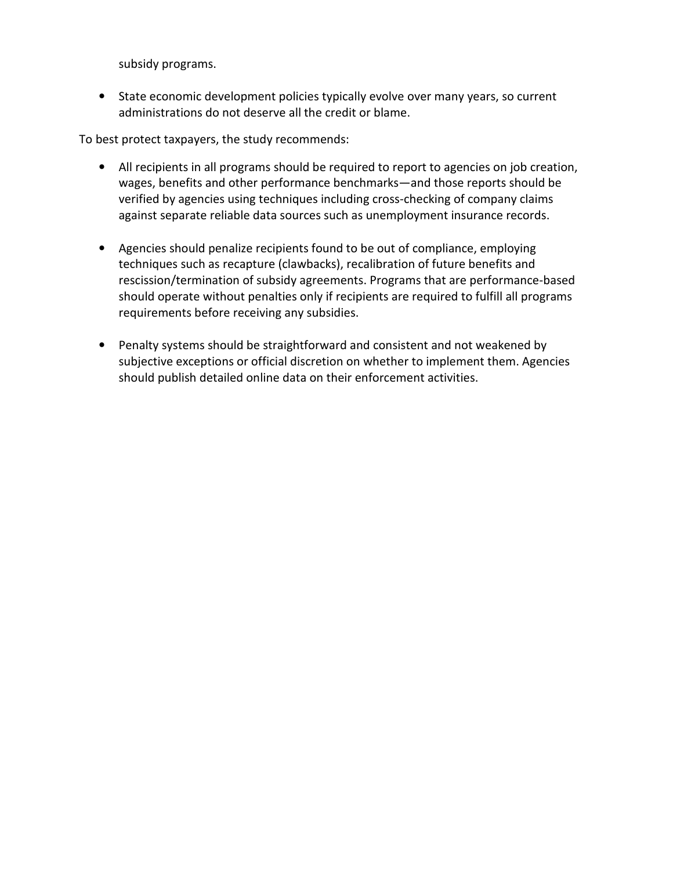subsidy programs.

• State economic development policies typically evolve over many years, so current administrations do not deserve all the credit or blame.

To best protect taxpayers, the study recommends:

- All recipients in all programs should be required to report to agencies on job creation, wages, benefits and other performance benchmarks—and those reports should be verified by agencies using techniques including cross-checking of company claims against separate reliable data sources such as unemployment insurance records.
- Agencies should penalize recipients found to be out of compliance, employing techniques such as recapture (clawbacks), recalibration of future benefits and rescission/termination of subsidy agreements. Programs that are performance-based should operate without penalties only if recipients are required to fulfill all programs requirements before receiving any subsidies.
- Penalty systems should be straightforward and consistent and not weakened by subjective exceptions or official discretion on whether to implement them. Agencies should publish detailed online data on their enforcement activities.